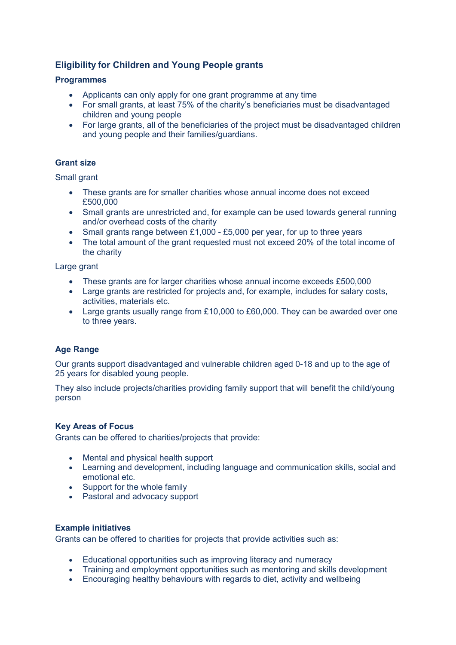# **Eligibility for Children and Young People grants**

# **Programmes**

- Applicants can only apply for one grant programme at any time
- For small grants, at least 75% of the charity's beneficiaries must be disadvantaged children and young people
- For large grants, all of the beneficiaries of the project must be disadvantaged children and young people and their families/guardians.

# **Grant size**

Small grant

- These grants are for smaller charities whose annual income does not exceed £500,000
- Small grants are unrestricted and, for example can be used towards general running and/or overhead costs of the charity
- Small grants range between £1,000 £5,000 per year, for up to three years
- The total amount of the grant requested must not exceed 20% of the total income of the charity

Large grant

- These grants are for larger charities whose annual income exceeds £500,000
- Large grants are restricted for projects and, for example, includes for salary costs, activities, materials etc.
- Large grants usually range from £10,000 to £60,000. They can be awarded over one to three years.

# **Age Range**

Our grants support disadvantaged and vulnerable children aged 0-18 and up to the age of 25 years for disabled young people.

They also include projects/charities providing family support that will benefit the child/young person

# **Key Areas of Focus**

Grants can be offered to charities/projects that provide:

- Mental and physical health support
- Learning and development, including language and communication skills, social and emotional etc.
- Support for the whole family
- Pastoral and advocacy support

# **Example initiatives**

Grants can be offered to charities for projects that provide activities such as:

- Educational opportunities such as improving literacy and numeracy
- Training and employment opportunities such as mentoring and skills development
- Encouraging healthy behaviours with regards to diet, activity and wellbeing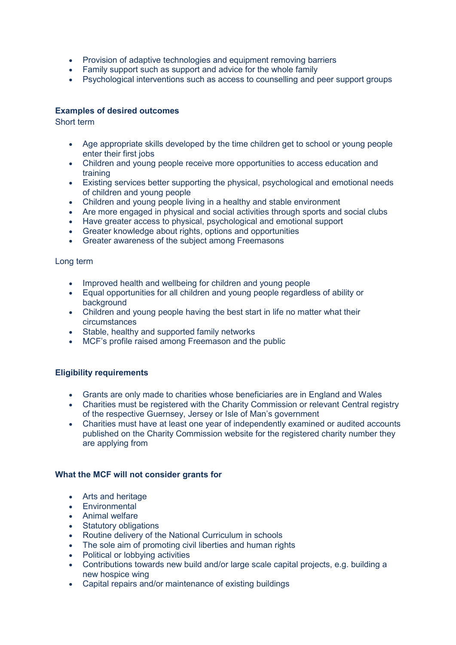- Provision of adaptive technologies and equipment removing barriers
- Family support such as support and advice for the whole family
- Psychological interventions such as access to counselling and peer support groups

# **Examples of desired outcomes**

Short term

- Age appropriate skills developed by the time children get to school or young people enter their first jobs
- Children and young people receive more opportunities to access education and training
- Existing services better supporting the physical, psychological and emotional needs of children and young people
- Children and young people living in a healthy and stable environment
- Are more engaged in physical and social activities through sports and social clubs
- Have greater access to physical, psychological and emotional support
- Greater knowledge about rights, options and opportunities
- Greater awareness of the subject among Freemasons

# Long term

- Improved health and wellbeing for children and young people
- Equal opportunities for all children and young people regardless of ability or background
- Children and young people having the best start in life no matter what their circumstances
- Stable, healthy and supported family networks
- MCF's profile raised among Freemason and the public

# **Eligibility requirements**

- Grants are only made to charities whose beneficiaries are in England and Wales
- Charities must be registered with the Charity Commission or relevant Central registry of the respective Guernsey, Jersey or Isle of Man's government
- Charities must have at least one year of independently examined or audited accounts published on the Charity Commission website for the registered charity number they are applying from

# **What the MCF will not consider grants for**

- Arts and heritage
- Environmental
- Animal welfare
- Statutory obligations
- Routine delivery of the National Curriculum in schools
- The sole aim of promoting civil liberties and human rights
- Political or lobbying activities
- Contributions towards new build and/or large scale capital projects, e.g. building a new hospice wing
- Capital repairs and/or maintenance of existing buildings